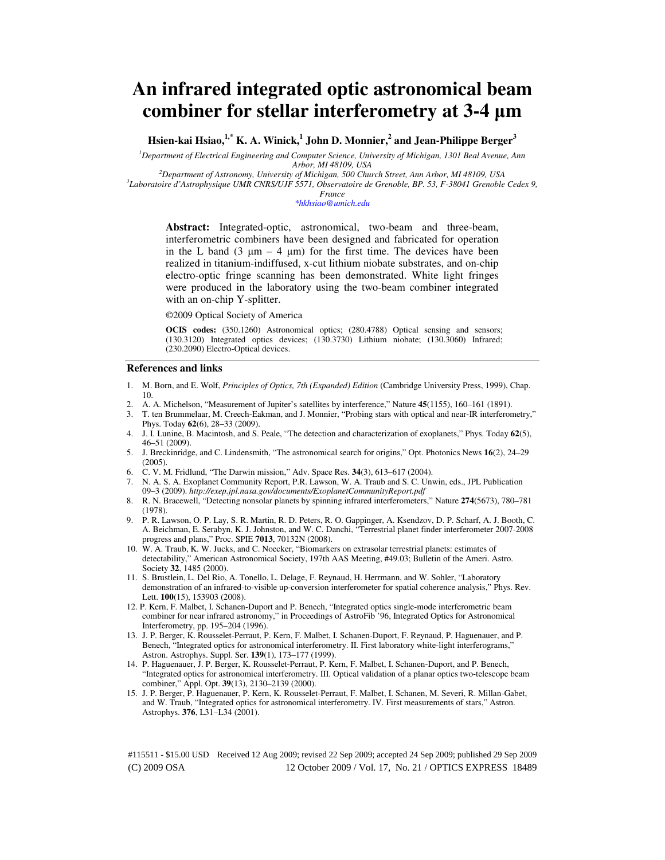# **An infrared integrated optic astronomical beam combiner for stellar interferometry at 3-4** µ**m**

**Hsien-kai Hsiao,1,\* K. A. Winick,<sup>1</sup> John D. Monnier,<sup>2</sup> and Jean-Philippe Berger<sup>3</sup>**

*<sup>1</sup>Department of Electrical Engineering and Computer Science, University of Michigan, 1301 Beal Avenue, Ann Arbor, MI 48109, USA* 

*<sup>2</sup>Department of Astronomy, University of Michigan, 500 Church Street, Ann Arbor, MI 48109, USA 3 Laboratoire d'Astrophysique UMR CNRS/UJF 5571, Observatoire de Grenoble, BP. 53, F-38041 Grenoble Cedex 9,* 

> *France \*hkhsiao@umich.edu*

**Abstract:** Integrated-optic, astronomical, two-beam and three-beam, interferometric combiners have been designed and fabricated for operation in the L band (3  $\mu$ m – 4  $\mu$ m) for the first time. The devices have been realized in titanium-indiffused, x-cut lithium niobate substrates, and on-chip electro-optic fringe scanning has been demonstrated. White light fringes were produced in the laboratory using the two-beam combiner integrated with an on-chip Y-splitter.

©2009 Optical Society of America

**OCIS codes:** (350.1260) Astronomical optics; (280.4788) Optical sensing and sensors; (130.3120) Integrated optics devices; (130.3730) Lithium niobate; (130.3060) Infrared; (230.2090) Electro-Optical devices.

### **References and links**

- 1. M. Born, and E. Wolf, *Principles of Optics, 7th (Expanded) Edition* (Cambridge University Press, 1999), Chap. 10.
- 2. A. A. Michelson, "Measurement of Jupiter's satellites by interference," Nature **45**(1155), 160–161 (1891).
- 3. T. ten Brummelaar, M. Creech-Eakman, and J. Monnier, "Probing stars with optical and near-IR interferometry," Phys. Today **62**(6), 28–33 (2009).
- 4. J. I. Lunine, B. Macintosh, and S. Peale, "The detection and characterization of exoplanets," Phys. Today **62**(5), 46–51 (2009).
- 5. J. Breckinridge, and C. Lindensmith, "The astronomical search for origins," Opt. Photonics News **16**(2), 24–29 (2005).
- 6. C. V. M. Fridlund, "The Darwin mission," Adv. Space Res. **34**(3), 613–617 (2004).
- 7. N. A. S. A. Exoplanet Community Report, P.R. Lawson, W. A. Traub and S. C. Unwin, eds., JPL Publication 09–3 (2009). *http://exep.jpl.nasa.gov/documents/ExoplanetCommunityReport.pdf*
- 8. R. N. Bracewell, "Detecting nonsolar planets by spinning infrared interferometers," Nature **274**(5673), 780–781 (1978).
- 9. P. R. Lawson, O. P. Lay, S. R. Martin, R. D. Peters, R. O. Gappinger, A. Ksendzov, D. P. Scharf, A. J. Booth, C. A. Beichman, E. Serabyn, K. J. Johnston, and W. C. Danchi, "Terrestrial planet finder interferometer 2007-2008 progress and plans," Proc. SPIE **7013**, 70132N (2008).
- 10. W. A. Traub, K. W. Jucks, and C. Noecker, "Biomarkers on extrasolar terrestrial planets: estimates of detectability," American Astronomical Society, 197th AAS Meeting, #49.03; Bulletin of the Ameri. Astro. Society **32**, 1485 (2000).
- 11. S. Brustlein, L. Del Rio, A. Tonello, L. Delage, F. Reynaud, H. Herrmann, and W. Sohler, "Laboratory demonstration of an infrared-to-visible up-conversion interferometer for spatial coherence analysis," Phys. Rev. Lett. **100**(15), 153903 (2008).
- 12. P. Kern, F. Malbet, I. Schanen-Duport and P. Benech, "Integrated optics single-mode interferometric beam combiner for near infrared astronomy," in Proceedings of AstroFib '96, Integrated Optics for Astronomical Interferometry, pp. 195–204 (1996).
- 13. J. P. Berger, K. Rousselet-Perraut, P. Kern, F. Malbet, I. Schanen-Duport, F. Reynaud, P. Haguenauer, and P. Benech, "Integrated optics for astronomical interferometry. II. First laboratory white-light interferograms," Astron. Astrophys. Suppl. Ser. **139**(1), 173–177 (1999).
- 14. P. Haguenauer, J. P. Berger, K. Rousselet-Perraut, P. Kern, F. Malbet, I. Schanen-Duport, and P. Benech, "Integrated optics for astronomical interferometry. III. Optical validation of a planar optics two-telescope beam combiner," Appl. Opt. **39**(13), 2130–2139 (2000).
- 15. J. P. Berger, P. Haguenauer, P. Kern, K. Rousselet-Perraut, F. Malbet, I. Schanen, M. Severi, R. Millan-Gabet, and W. Traub, "Integrated optics for astronomical interferometry. IV. First measurements of stars," Astron. Astrophys. **376**, L31–L34 (2001).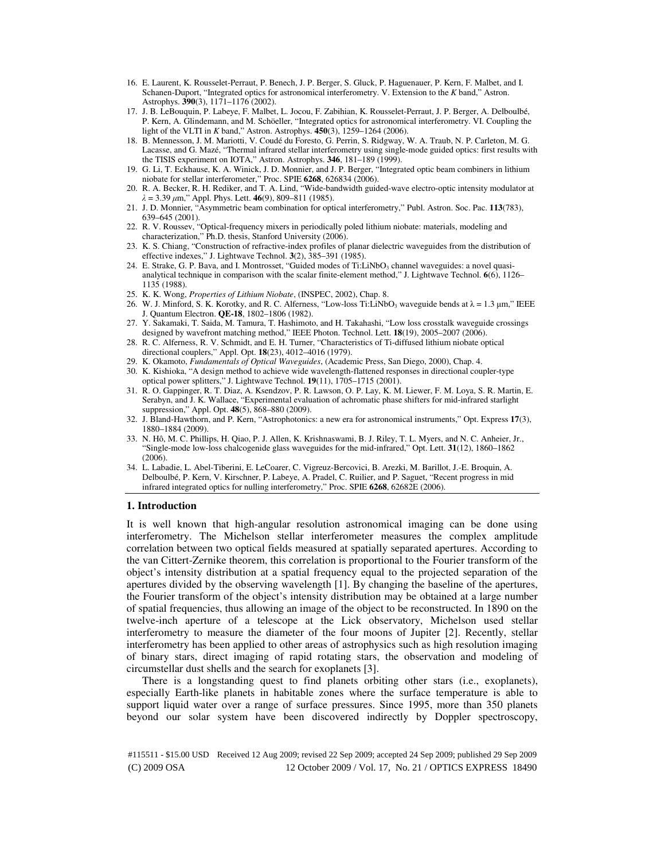- 16. E. Laurent, K. Rousselet-Perraut, P. Benech, J. P. Berger, S. Gluck, P. Haguenauer, P. Kern, F. Malbet, and I. Schanen-Duport, "Integrated optics for astronomical interferometry. V. Extension to the *K* band," Astron. Astrophys. **390**(3), 1171–1176 (2002).
- 17. J. B. LeBouquin, P. Labeye, F. Malbet, L. Jocou, F. Zabihian, K. Rousselet-Perraut, J. P. Berger, A. Delboulbé, P. Kern, A. Glindemann, and M. Schöeller, "Integrated optics for astronomical interferometry. VI. Coupling the light of the VLTI in *K* band," Astron. Astrophys. **450**(3), 1259–1264 (2006).
- 18. B. Mennesson, J. M. Mariotti, V. Coudé du Foresto, G. Perrin, S. Ridgway, W. A. Traub, N. P. Carleton, M. G. Lacasse, and G. Mazé, "Thermal infrared stellar interferometry using single-mode guided optics: first results with the TISIS experiment on IOTA," Astron. Astrophys. **346**, 181–189 (1999).
- 19. G. Li, T. Eckhause, K. A. Winick, J. D. Monnier, and J. P. Berger, "Integrated optic beam combiners in lithium niobate for stellar interferometer," Proc. SPIE **6268**, 626834 (2006).
- 20. R. A. Becker, R. H. Rediker, and T. A. Lind, "Wide-bandwidth guided-wave electro-optic intensity modulator at  $\lambda = 3.39 \ \mu \text{m}$ ," Appl. Phys. Lett. **46**(9), 809–811 (1985).
- 21. J. D. Monnier, "Asymmetric beam combination for optical interferometry," Publ. Astron. Soc. Pac. **113**(783), 639–645 (2001).
- 22. R. V. Roussev, "Optical-frequency mixers in periodically poled lithium niobate: materials, modeling and characterization," Ph.D. thesis, Stanford University (2006).
- 23. K. S. Chiang, "Construction of refractive-index profiles of planar dielectric waveguides from the distribution of effective indexes," J. Lightwave Technol. **3**(2), 385–391 (1985).
- 24. E. Strake, G. P. Bava, and I. Montrosset, "Guided modes of Ti:LiNbO<sub>3</sub> channel waveguides: a novel quasianalytical technique in comparison with the scalar finite-element method," J. Lightwave Technol. **6**(6), 1126– 1135 (1988).
- 25. K. K. Wong, *Properties of Lithium Niobate*, (INSPEC, 2002), Chap. 8.
- 26. W. J. Minford, S. K. Korotky, and R. C. Alferness, "Low-loss Ti:LiNbO<sub>3</sub> waveguide bends at  $\lambda = 1.3 \mu m$ ," IEEE J. Quantum Electron. **QE-18**, 1802–1806 (1982).
- 27. Y. Sakamaki, T. Saida, M. Tamura, T. Hashimoto, and H. Takahashi, "Low loss crosstalk waveguide crossings designed by wavefront matching method," IEEE Photon. Technol. Lett. **18**(19), 2005–2007 (2006).
- 28. R. C. Alferness, R. V. Schmidt, and E. H. Turner, "Characteristics of Ti-diffused lithium niobate optical directional couplers," Appl. Opt. **18**(23), 4012–4016 (1979).
- 29. K. Okamoto, *Fundamentals of Optical Waveguides*, (Academic Press, San Diego, 2000), Chap. 4.
- 30. K. Kishioka, "A design method to achieve wide wavelength-flattened responses in directional coupler-type optical power splitters," J. Lightwave Technol. **19**(11), 1705–1715 (2001).
- 31. R. O. Gappinger, R. T. Diaz, A. Ksendzov, P. R. Lawson, O. P. Lay, K. M. Liewer, F. M. Loya, S. R. Martin, E. Serabyn, and J. K. Wallace, "Experimental evaluation of achromatic phase shifters for mid-infrared starlight suppression," Appl. Opt. **48**(5), 868–880 (2009).
- 32. J. Bland-Hawthorn, and P. Kern, "Astrophotonics: a new era for astronomical instruments," Opt. Express **17**(3), 1880–1884 (2009).
- 33. N. Hô, M. C. Phillips, H. Qiao, P. J. Allen, K. Krishnaswami, B. J. Riley, T. L. Myers, and N. C. Anheier, Jr., "Single-mode low-loss chalcogenide glass waveguides for the mid-infrared," Opt. Lett. **31**(12), 1860–1862 (2006).
- 34. L. Labadie, L. Abel-Tiberini, E. LeCoarer, C. Vigreuz-Bercovici, B. Arezki, M. Barillot, J.-E. Broquin, A. Delboulbé, P. Kern, V. Kirschner, P. Labeye, A. Pradel, C. Ruilier, and P. Saguet, "Recent progress in mid infrared integrated optics for nulling interferometry," Proc. SPIE **6268**, 62682E (2006).

#### **1. Introduction**

It is well known that high-angular resolution astronomical imaging can be done using interferometry. The Michelson stellar interferometer measures the complex amplitude correlation between two optical fields measured at spatially separated apertures. According to the van Cittert-Zernike theorem, this correlation is proportional to the Fourier transform of the object's intensity distribution at a spatial frequency equal to the projected separation of the apertures divided by the observing wavelength [1]. By changing the baseline of the apertures, the Fourier transform of the object's intensity distribution may be obtained at a large number of spatial frequencies, thus allowing an image of the object to be reconstructed. In 1890 on the twelve-inch aperture of a telescope at the Lick observatory, Michelson used stellar interferometry to measure the diameter of the four moons of Jupiter [2]. Recently, stellar interferometry has been applied to other areas of astrophysics such as high resolution imaging of binary stars, direct imaging of rapid rotating stars, the observation and modeling of circumstellar dust shells and the search for exoplanets [3].

There is a longstanding quest to find planets orbiting other stars (i.e., exoplanets), especially Earth-like planets in habitable zones where the surface temperature is able to support liquid water over a range of surface pressures. Since 1995, more than 350 planets beyond our solar system have been discovered indirectly by Doppler spectroscopy,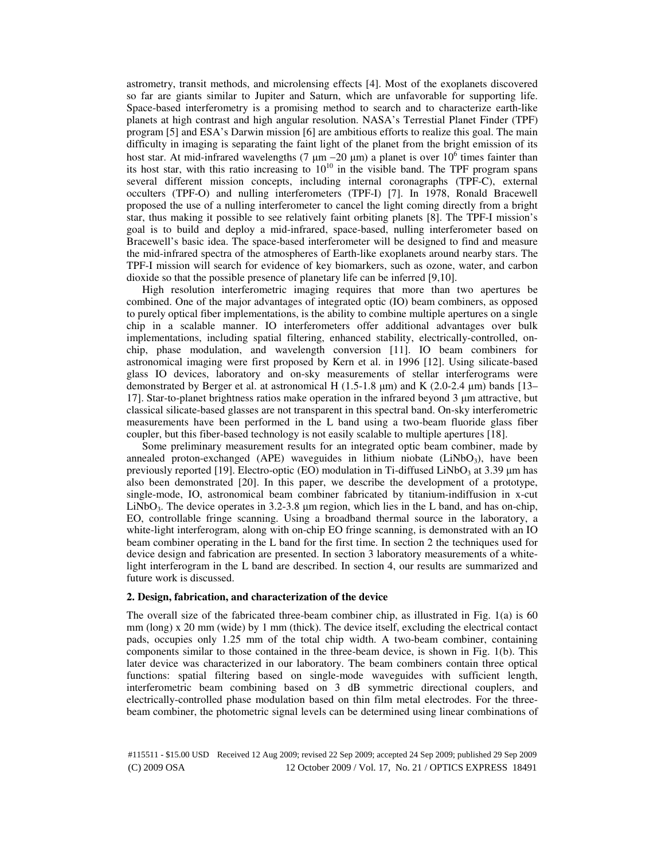astrometry, transit methods, and microlensing effects [4]. Most of the exoplanets discovered so far are giants similar to Jupiter and Saturn, which are unfavorable for supporting life. Space-based interferometry is a promising method to search and to characterize earth-like planets at high contrast and high angular resolution. NASA's Terrestial Planet Finder (TPF) program [5] and ESA's Darwin mission [6] are ambitious efforts to realize this goal. The main difficulty in imaging is separating the faint light of the planet from the bright emission of its host star. At mid-infrared wavelengths (7  $\mu$ m –20  $\mu$ m) a planet is over 10<sup>6</sup> times fainter than its host star, with this ratio increasing to  $10^{10}$  in the visible band. The TPF program spans several different mission concepts, including internal coronagraphs (TPF-C), external occulters (TPF-O) and nulling interferometers (TPF-I) [7]. In 1978, Ronald Bracewell proposed the use of a nulling interferometer to cancel the light coming directly from a bright star, thus making it possible to see relatively faint orbiting planets [8]. The TPF-I mission's goal is to build and deploy a mid-infrared, space-based, nulling interferometer based on Bracewell's basic idea. The space-based interferometer will be designed to find and measure the mid-infrared spectra of the atmospheres of Earth-like exoplanets around nearby stars. The TPF-I mission will search for evidence of key biomarkers, such as ozone, water, and carbon dioxide so that the possible presence of planetary life can be inferred [9,10].

High resolution interferometric imaging requires that more than two apertures be combined. One of the major advantages of integrated optic (IO) beam combiners, as opposed to purely optical fiber implementations, is the ability to combine multiple apertures on a single chip in a scalable manner. IO interferometers offer additional advantages over bulk implementations, including spatial filtering, enhanced stability, electrically-controlled, onchip, phase modulation, and wavelength conversion [11]. IO beam combiners for astronomical imaging were first proposed by Kern et al. in 1996 [12]. Using silicate-based glass IO devices, laboratory and on-sky measurements of stellar interferograms were demonstrated by Berger et al. at astronomical H  $(1.5-1.8 \text{ µm})$  and K  $(2.0-2.4 \text{ µm})$  bands [13– 17]. Star-to-planet brightness ratios make operation in the infrared beyond 3 µm attractive, but classical silicate-based glasses are not transparent in this spectral band. On-sky interferometric measurements have been performed in the L band using a two-beam fluoride glass fiber coupler, but this fiber-based technology is not easily scalable to multiple apertures [18].

Some preliminary measurement results for an integrated optic beam combiner, made by annealed proton-exchanged (APE) waveguides in lithium niobate (LiNbO<sub>3</sub>), have been previously reported [19]. Electro-optic (EO) modulation in Ti-diffused LiNbO<sub>3</sub> at 3.39  $\mu$ m has also been demonstrated [20]. In this paper, we describe the development of a prototype, single-mode, IO, astronomical beam combiner fabricated by titanium-indiffusion in x-cut LiNbO<sub>3</sub>. The device operates in 3.2-3.8  $\mu$ m region, which lies in the L band, and has on-chip, EO, controllable fringe scanning. Using a broadband thermal source in the laboratory, a white-light interferogram, along with on-chip EO fringe scanning, is demonstrated with an IO beam combiner operating in the L band for the first time. In section 2 the techniques used for device design and fabrication are presented. In section 3 laboratory measurements of a whitelight interferogram in the L band are described. In section 4, our results are summarized and future work is discussed.

# **2. Design, fabrication, and characterization of the device**

The overall size of the fabricated three-beam combiner chip, as illustrated in Fig. 1(a) is 60  $mm$  (long) x 20 mm (wide) by 1 mm (thick). The device itself, excluding the electrical contact pads, occupies only 1.25 mm of the total chip width. A two-beam combiner, containing components similar to those contained in the three-beam device, is shown in Fig. 1(b). This later device was characterized in our laboratory. The beam combiners contain three optical functions: spatial filtering based on single-mode waveguides with sufficient length, interferometric beam combining based on 3 dB symmetric directional couplers, and electrically-controlled phase modulation based on thin film metal electrodes. For the threebeam combiner, the photometric signal levels can be determined using linear combinations of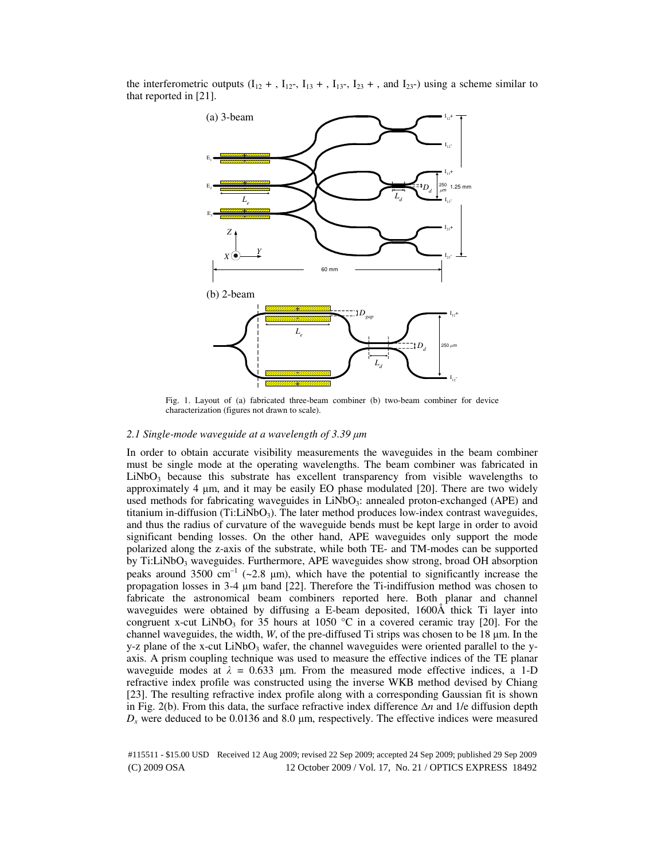the interferometric outputs  $(I_{12} + I_{12} - I_{13} + I_{13} - I_{23} + I_{13} - I_{23} - I_{13}$  using a scheme similar to that reported in [21].



Fig. 1. Layout of (a) fabricated three-beam combiner (b) two-beam combiner for device characterization (figures not drawn to scale).

# *2.1 Single-mode waveguide at a wavelength of 3.39* µ*m*

In order to obtain accurate visibility measurements the waveguides in the beam combiner must be single mode at the operating wavelengths. The beam combiner was fabricated in LiNbO<sub>3</sub> because this substrate has excellent transparency from visible wavelengths to approximately 4  $\mu$ m, and it may be easily EO phase modulated [20]. There are two widely used methods for fabricating waveguides in LiNbO<sub>3</sub>: annealed proton-exchanged (APE) and titanium in-diffusion (Ti:LiNbO<sub>3</sub>). The later method produces low-index contrast waveguides, and thus the radius of curvature of the waveguide bends must be kept large in order to avoid significant bending losses. On the other hand, APE waveguides only support the mode polarized along the z-axis of the substrate, while both TE- and TM-modes can be supported by Ti:LiNbO<sub>3</sub> waveguides. Furthermore, APE waveguides show strong, broad OH absorption peaks around 3500 cm<sup>-1</sup> (~2.8 μm), which have the potential to significantly increase the propagation losses in 3-4 µm band [22]. Therefore the Ti-indiffusion method was chosen to fabricate the astronomical beam combiners reported here. Both planar and channel waveguides were obtained by diffusing a E-beam deposited, 1600Å thick Ti layer into congruent x-cut LiNbO<sub>3</sub> for 35 hours at 1050  $^{\circ}$ C in a covered ceramic tray [20]. For the channel waveguides, the width, *W*, of the pre-diffused Ti strips was chosen to be 18  $\mu$ m. In the  $y$ -z plane of the x-cut LiNbO<sub>3</sub> wafer, the channel waveguides were oriented parallel to the yaxis. A prism coupling technique was used to measure the effective indices of the TE planar waveguide modes at  $\lambda = 0.633$  µm. From the measured mode effective indices, a 1-D refractive index profile was constructed using the inverse WKB method devised by Chiang [23]. The resulting refractive index profile along with a corresponding Gaussian fit is shown in Fig. 2(b). From this data, the surface refractive index difference ∆*n* and 1/e diffusion depth  $D_x$  were deduced to be 0.0136 and 8.0  $\mu$ m, respectively. The effective indices were measured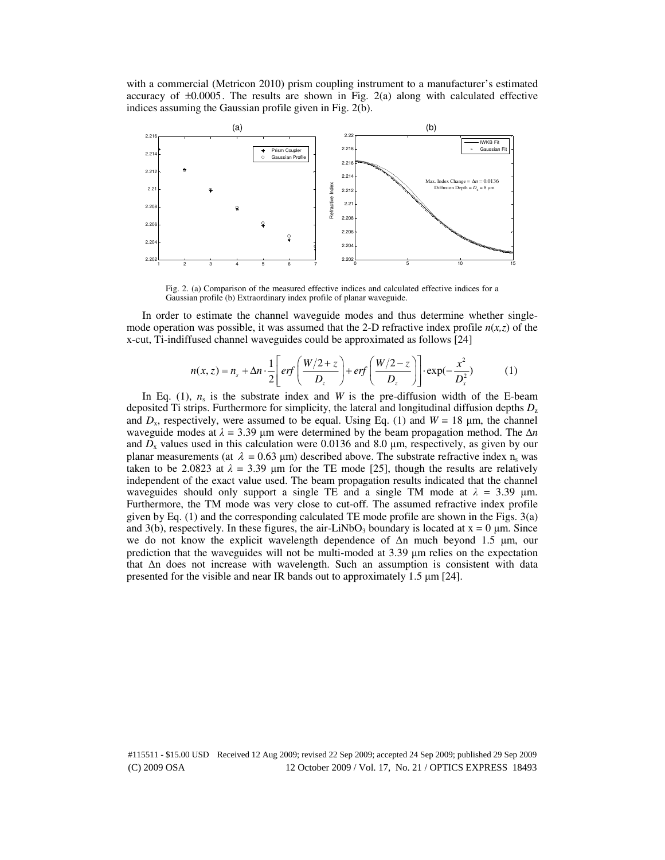with a commercial (Metricon 2010) prism coupling instrument to a manufacturer's estimated accuracy of  $\pm 0.0005$ . The results are shown in Fig. 2(a) along with calculated effective indices assuming the Gaussian profile given in Fig. 2(b).



Fig. 2. (a) Comparison of the measured effective indices and calculated effective indices for a Gaussian profile (b) Extraordinary index profile of planar waveguide.

In order to estimate the channel waveguide modes and thus determine whether singlemode operation was possible, it was assumed that the 2-D refractive index profile *n*(*x,z*) of the x-cut, Ti-indiffused channel waveguides could be approximated as follows [24]

$$
n(x, z) = n_s + \Delta n \cdot \frac{1}{2} \left[ erf \left( \frac{W/2 + z}{D_z} \right) + erf \left( \frac{W/2 - z}{D_z} \right) \right] \cdot \exp(-\frac{x^2}{D_x^2}) \tag{1}
$$

In Eq. (1),  $n_s$  is the substrate index and *W* is the pre-diffusion width of the E-beam deposited Ti strips. Furthermore for simplicity, the lateral and longitudinal diffusion depths  $D_z$ and  $D_x$ , respectively, were assumed to be equal. Using Eq. (1) and  $W = 18 \mu m$ , the channel waveguide modes at  $\lambda = 3.39$  µm were determined by the beam propagation method. The  $\Delta n$ and  $D_x$  values used in this calculation were 0.0136 and 8.0  $\mu$ m, respectively, as given by our planar measurements (at  $\lambda = 0.63 \text{ }\mu\text{m}$ ) described above. The substrate refractive index n<sub>s</sub> was taken to be 2.0823 at  $\lambda = 3.39$  µm for the TE mode [25], though the results are relatively independent of the exact value used. The beam propagation results indicated that the channel waveguides should only support a single TE and a single TM mode at  $\lambda = 3.39$  µm. Furthermore, the TM mode was very close to cut-off. The assumed refractive index profile given by Eq. (1) and the corresponding calculated TE mode profile are shown in the Figs. 3(a) and 3(b), respectively. In these figures, the air-LiNbO<sub>3</sub> boundary is located at  $x = 0 \mu m$ . Since we do not know the explicit wavelength dependence of ∆n much beyond 1.5 µm, our prediction that the waveguides will not be multi-moded at 3.39 µm relies on the expectation that ∆n does not increase with wavelength. Such an assumption is consistent with data presented for the visible and near IR bands out to approximately 1.5 µm [24].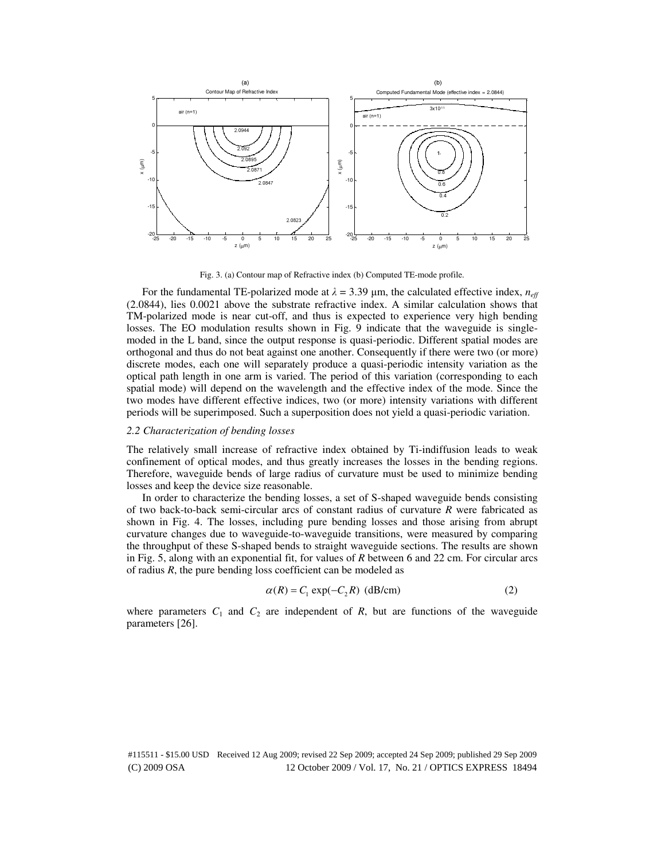

Fig. 3. (a) Contour map of Refractive index (b) Computed TE-mode profile.

For the fundamental TE-polarized mode at  $\lambda = 3.39$  µm, the calculated effective index,  $n_{\text{eff}}$ (2.0844), lies 0.0021 above the substrate refractive index. A similar calculation shows that TM-polarized mode is near cut-off, and thus is expected to experience very high bending losses. The EO modulation results shown in Fig. 9 indicate that the waveguide is singlemoded in the L band, since the output response is quasi-periodic. Different spatial modes are orthogonal and thus do not beat against one another. Consequently if there were two (or more) discrete modes, each one will separately produce a quasi-periodic intensity variation as the optical path length in one arm is varied. The period of this variation (corresponding to each spatial mode) will depend on the wavelength and the effective index of the mode. Since the two modes have different effective indices, two (or more) intensity variations with different periods will be superimposed. Such a superposition does not yield a quasi-periodic variation.

## *2.2 Characterization of bending losses*

The relatively small increase of refractive index obtained by Ti-indiffusion leads to weak confinement of optical modes, and thus greatly increases the losses in the bending regions. Therefore, waveguide bends of large radius of curvature must be used to minimize bending losses and keep the device size reasonable.

In order to characterize the bending losses, a set of S-shaped waveguide bends consisting of two back-to-back semi-circular arcs of constant radius of curvature *R* were fabricated as shown in Fig. 4. The losses, including pure bending losses and those arising from abrupt curvature changes due to waveguide-to-waveguide transitions, were measured by comparing the throughput of these S-shaped bends to straight waveguide sections. The results are shown in Fig. 5, along with an exponential fit, for values of *R* between 6 and 22 cm. For circular arcs of radius *R*, the pure bending loss coefficient can be modeled as

$$
\alpha(R) = C_1 \exp(-C_2 R) \text{ (dB/cm)} \tag{2}
$$

where parameters  $C_1$  and  $C_2$  are independent of  $R$ , but are functions of the waveguide parameters [26].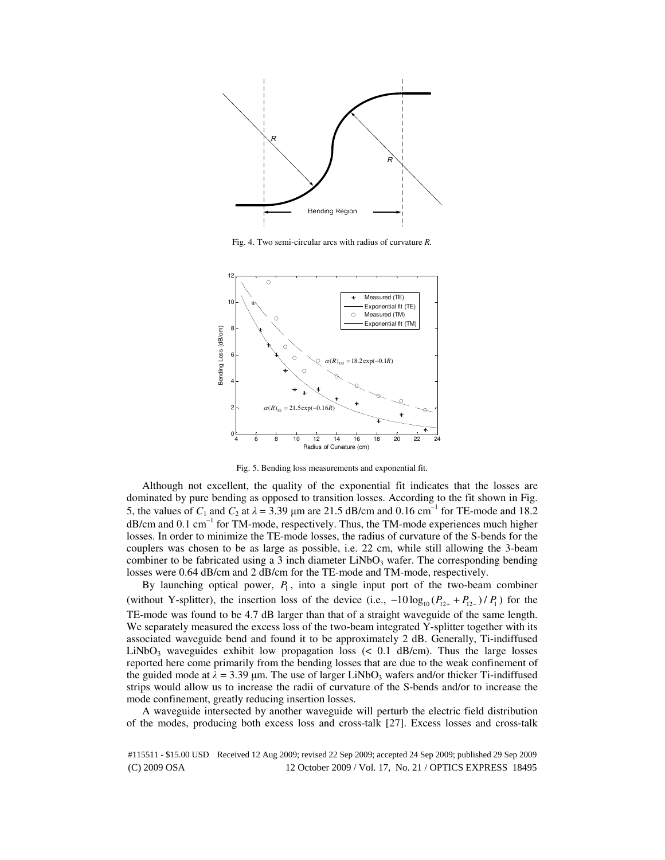

Fig. 4. Two semi-circular arcs with radius of curvature *R.*



Fig. 5. Bending loss measurements and exponential fit.

Although not excellent, the quality of the exponential fit indicates that the losses are dominated by pure bending as opposed to transition losses. According to the fit shown in Fig. 5, the values of  $C_1$  and  $C_2$  at  $\lambda = 3.39$  µm are 21.5 dB/cm and 0.16 cm<sup>-1</sup> for TE-mode and 18.2 dB/cm and 0.1 cm<sup>−</sup><sup>1</sup> for TM-mode, respectively. Thus, the TM-mode experiences much higher losses. In order to minimize the TE-mode losses, the radius of curvature of the S-bends for the couplers was chosen to be as large as possible, i.e. 22 cm, while still allowing the 3-beam combiner to be fabricated using a 3 inch diameter  $LiNbO<sub>3</sub>$  wafer. The corresponding bending losses were 0.64 dB/cm and 2 dB/cm for the TE-mode and TM-mode, respectively.

By launching optical power,  $P_1$ , into a single input port of the two-beam combiner (without Y-splitter), the insertion loss of the device (i.e.,  $-10 \log_{10} (P_{12+} + P_{12-})/P_1$ ) for the TE-mode was found to be 4.7 dB larger than that of a straight waveguide of the same length. We separately measured the excess loss of the two-beam integrated Y-splitter together with its associated waveguide bend and found it to be approximately 2 dB. Generally, Ti-indiffused LiNbO<sub>3</sub> waveguides exhibit low propagation loss  $\ll 0.1$  dB/cm). Thus the large losses reported here come primarily from the bending losses that are due to the weak confinement of the guided mode at  $\lambda = 3.39$  µm. The use of larger LiNbO<sub>3</sub> wafers and/or thicker Ti-indiffused strips would allow us to increase the radii of curvature of the S-bends and/or to increase the mode confinement, greatly reducing insertion losses.

A waveguide intersected by another waveguide will perturb the electric field distribution of the modes, producing both excess loss and cross-talk [27]. Excess losses and cross-talk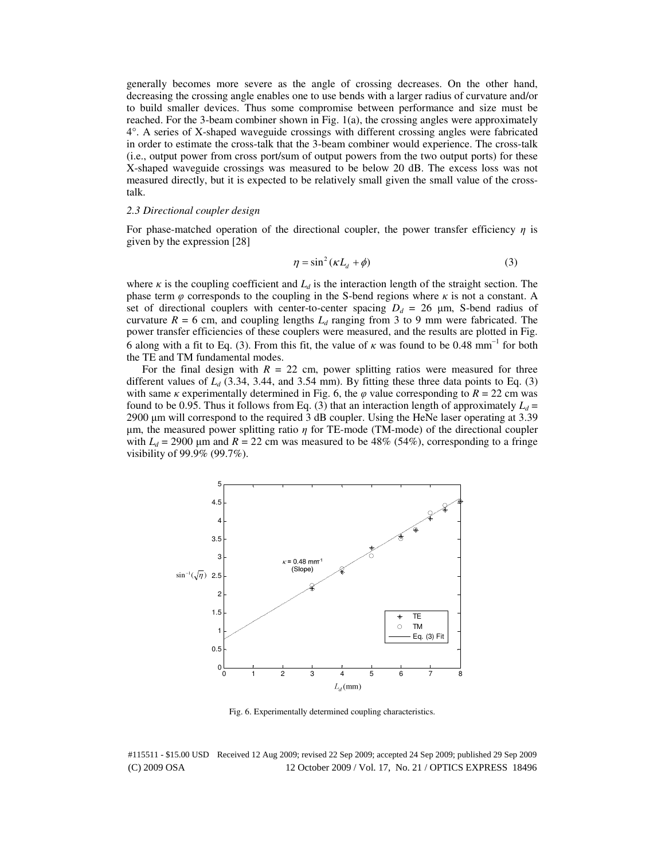generally becomes more severe as the angle of crossing decreases. On the other hand, decreasing the crossing angle enables one to use bends with a larger radius of curvature and/or to build smaller devices. Thus some compromise between performance and size must be reached. For the 3-beam combiner shown in Fig. 1(a), the crossing angles were approximately 4°. A series of X-shaped waveguide crossings with different crossing angles were fabricated in order to estimate the cross-talk that the 3-beam combiner would experience. The cross-talk (i.e., output power from cross port/sum of output powers from the two output ports) for these X-shaped waveguide crossings was measured to be below 20 dB. The excess loss was not measured directly, but it is expected to be relatively small given the small value of the crosstalk.

### *2.3 Directional coupler design*

For phase-matched operation of the directional coupler, the power transfer efficiency  $\eta$  is given by the expression [28]

$$
\eta = \sin^2(\kappa L_d + \phi) \tag{3}
$$

where  $\kappa$  is the coupling coefficient and  $L_d$  is the interaction length of the straight section. The phase term  $\varphi$  corresponds to the coupling in the S-bend regions where  $\kappa$  is not a constant. A set of directional couplers with center-to-center spacing  $D_d = 26$  µm, S-bend radius of curvature  $R = 6$  cm, and coupling lengths  $L_d$  ranging from 3 to 9 mm were fabricated. The power transfer efficiencies of these couplers were measured, and the results are plotted in Fig. 6 along with a fit to Eq. (3). From this fit, the value of  $\kappa$  was found to be 0.48 mm<sup>-1</sup> for both the TE and TM fundamental modes.

For the final design with  $R = 22$  cm, power splitting ratios were measured for three different values of  $L_d$  (3.34, 3.44, and 3.54 mm). By fitting these three data points to Eq. (3) with same  $\kappa$  experimentally determined in Fig. 6, the  $\varphi$  value corresponding to  $R = 22$  cm was found to be 0.95. Thus it follows from Eq. (3) that an interaction length of approximately  $L_d$ 2900 µm will correspond to the required 3 dB coupler. Using the HeNe laser operating at 3.39  $\mu$ m, the measured power splitting ratio  $\eta$  for TE-mode (TM-mode) of the directional coupler with  $L_d$  = 2900 µm and  $R = 22$  cm was measured to be 48% (54%), corresponding to a fringe visibility of 99.9% (99.7%).



Fig. 6. Experimentally determined coupling characteristics.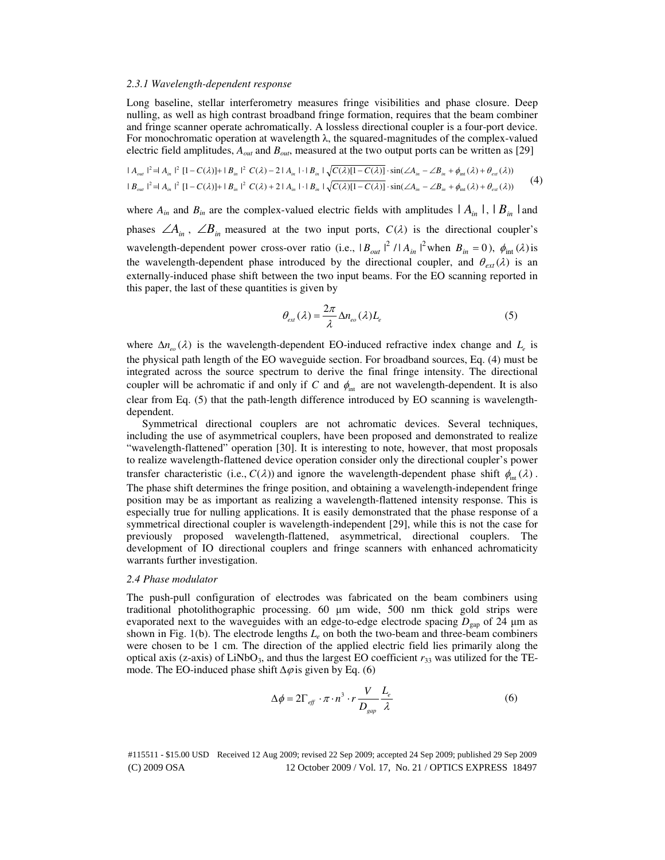#### *2.3.1 Wavelength-dependent response*

Long baseline, stellar interferometry measures fringe visibilities and phase closure. Deep nulling, as well as high contrast broadband fringe formation, requires that the beam combiner and fringe scanner operate achromatically. A lossless directional coupler is a four-port device. For monochromatic operation at wavelength  $\lambda$ , the squared-magnitudes of the complex-valued electric field amplitudes, *Aout* and *Bout*, measured at the two output ports can be written as [29]

$$
|A_{out}|^{2} = |A_{in}|^{2} [1 - C(\lambda)] + |B_{in}|^{2} C(\lambda) - 2 |A_{in}| \cdot |B_{in}| \sqrt{C(\lambda)[1 - C(\lambda)]} \cdot \sin(\angle A_{in} - \angle B_{in} + \phi_{int}(\lambda) + \theta_{ext}(\lambda))
$$
  

$$
|B_{out}|^{2} = |A_{in}|^{2} [1 - C(\lambda)] + |B_{in}|^{2} C(\lambda) + 2 |A_{in}| \cdot |B_{in}| \sqrt{C(\lambda)[1 - C(\lambda)]} \cdot \sin(\angle A_{in} - \angle B_{in} + \phi_{int}(\lambda) + \theta_{ext}(\lambda))
$$
  
(4)

where  $A_{in}$  and  $B_{in}$  are the complex-valued electric fields with amplitudes  $|A_{in}|, |B_{in}|$  and phases  $\angle A_{in}$ ,  $\angle B_{in}$  measured at the two input ports,  $C(\lambda)$  is the directional coupler's wavelength-dependent power cross-over ratio (i.e.,  $|B_{out}|^2/|A_{in}|^2$  when  $B_{in} = 0$ ),  $\phi_{int}(\lambda)$  is the wavelength-dependent phase introduced by the directional coupler, and  $\theta_{ext}(\lambda)$  is an externally-induced phase shift between the two input beams. For the EO scanning reported in this paper, the last of these quantities is given by

$$
\theta_{\text{ext}}\left(\lambda\right) = \frac{2\pi}{\lambda} \Delta n_{\text{eo}}\left(\lambda\right) L_{\text{e}}
$$
\n<sup>(5)</sup>

where  $\Delta n_{ee}(\lambda)$  is the wavelength-dependent EO-induced refractive index change and  $L_e$  is the physical path length of the EO waveguide section. For broadband sources, Eq. (4) must be integrated across the source spectrum to derive the final fringe intensity. The directional coupler will be achromatic if and only if *C* and  $\phi_{\text{int}}$  are not wavelength-dependent. It is also clear from Eq. (5) that the path-length difference introduced by EO scanning is wavelengthdependent.

Symmetrical directional couplers are not achromatic devices. Several techniques, including the use of asymmetrical couplers, have been proposed and demonstrated to realize "wavelength-flattened" operation [30]. It is interesting to note, however, that most proposals to realize wavelength-flattened device operation consider only the directional coupler's power transfer characteristic (i.e.,  $C(\lambda)$ ) and ignore the wavelength-dependent phase shift  $\phi_{\text{int}}(\lambda)$ . The phase shift determines the fringe position, and obtaining a wavelength-independent fringe position may be as important as realizing a wavelength-flattened intensity response. This is especially true for nulling applications. It is easily demonstrated that the phase response of a symmetrical directional coupler is wavelength-independent [29], while this is not the case for previously proposed wavelength-flattened, asymmetrical, directional couplers. The development of IO directional couplers and fringe scanners with enhanced achromaticity warrants further investigation.

#### *2.4 Phase modulator*

The push-pull configuration of electrodes was fabricated on the beam combiners using traditional photolithographic processing. 60 µm wide, 500 nm thick gold strips were evaporated next to the waveguides with an edge-to-edge electrode spacing  $D_{\text{gap}}$  of 24  $\mu$ m as shown in Fig. 1(b). The electrode lengths  $L_e$  on both the two-beam and three-beam combiners were chosen to be 1 cm. The direction of the applied electric field lies primarily along the optical axis (z-axis) of LiNbO<sub>3</sub>, and thus the largest EO coefficient  $r_{33}$  was utilized for the TEmode. The EO-induced phase shift  $\Delta \varphi$  is given by Eq. (6)

$$
\Delta \phi = 2\Gamma_{\text{eff}} \cdot \pi \cdot n^3 \cdot r \frac{V}{D_{\text{gap}}} \frac{L_e}{\lambda}
$$
 (6)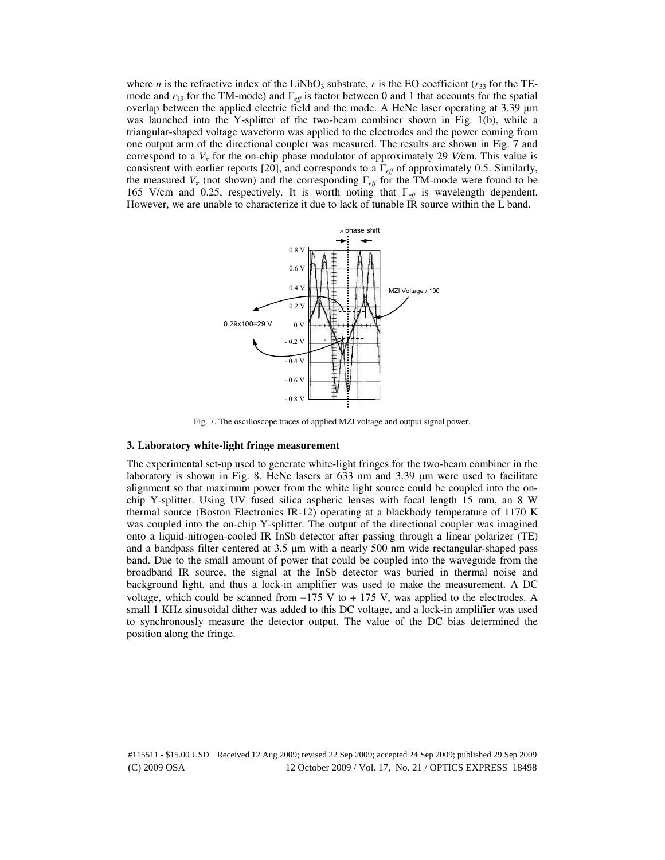where *n* is the refractive index of the LiNbO<sub>3</sub> substrate, *r* is the EO coefficient ( $r_{33}$  for the TEmode and *r*13 for the TM-mode) and Γ*eff* is factor between 0 and 1 that accounts for the spatial overlap between the applied electric field and the mode. A HeNe laser operating at 3.39 µm was launched into the Y-splitter of the two-beam combiner shown in Fig. 1(b), while a triangular-shaped voltage waveform was applied to the electrodes and the power coming from one output arm of the directional coupler was measured. The results are shown in Fig. 7 and correspond to a  $V_{\pi}$  for the on-chip phase modulator of approximately 29 *V*/cm. This value is consistent with earlier reports [20], and corresponds to a Γ*eff* of approximately 0.5. Similarly, the measured  $V_\pi$  (not shown) and the corresponding  $\Gamma_{\text{eff}}$  for the TM-mode were found to be 165 V/cm and 0.25, respectively. It is worth noting that Γ*eff* is wavelength dependent. However, we are unable to characterize it due to lack of tunable IR source within the L band.



Fig. 7. The oscilloscope traces of applied MZI voltage and output signal power.

#### **3. Laboratory white-light fringe measurement**

The experimental set-up used to generate white-light fringes for the two-beam combiner in the laboratory is shown in Fig. 8. HeNe lasers at 633 nm and 3.39 µm were used to facilitate alignment so that maximum power from the white light source could be coupled into the onchip Y-splitter. Using UV fused silica aspheric lenses with focal length 15 mm, an 8 W thermal source (Boston Electronics IR-12) operating at a blackbody temperature of 1170 K was coupled into the on-chip Y-splitter. The output of the directional coupler was imagined onto a liquid-nitrogen-cooled IR InSb detector after passing through a linear polarizer (TE) and a bandpass filter centered at 3.5  $\mu$ m with a nearly 500 nm wide rectangular-shaped pass band. Due to the small amount of power that could be coupled into the waveguide from the broadband IR source, the signal at the InSb detector was buried in thermal noise and background light, and thus a lock-in amplifier was used to make the measurement. A DC voltage, which could be scanned from  $-175$  V to  $+ 175$  V, was applied to the electrodes. A small 1 KHz sinusoidal dither was added to this DC voltage, and a lock-in amplifier was used to synchronously measure the detector output. The value of the DC bias determined the position along the fringe.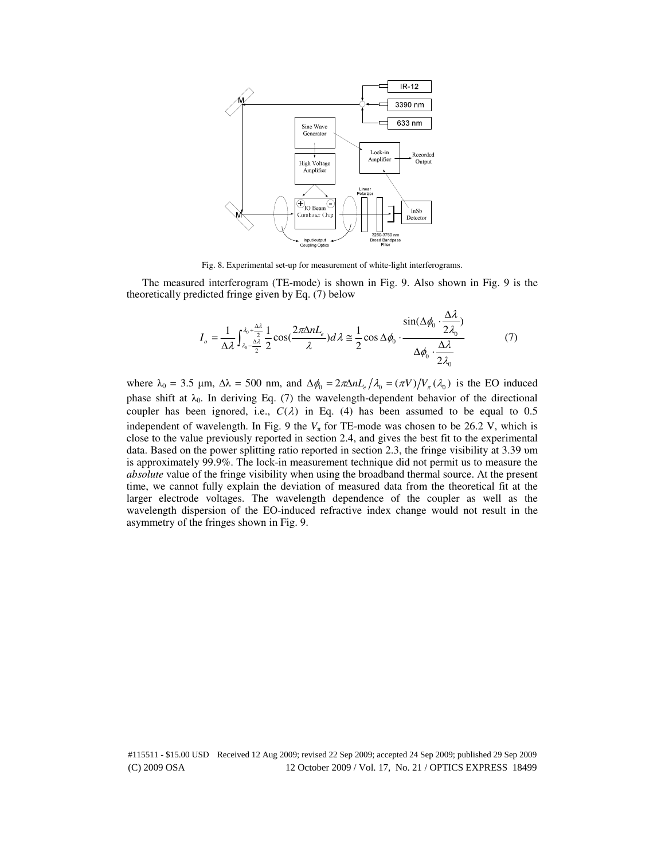

Fig. 8. Experimental set-up for measurement of white-light interferograms.

The measured interferogram (TE-mode) is shown in Fig. 9. Also shown in Fig. 9 is the theoretically predicted fringe given by Eq. (7) below

$$
I_o = \frac{1}{\Delta \lambda} \int_{\lambda_0 - \frac{\Delta \lambda}{2}}^{\lambda_0 + \frac{\Delta \lambda}{2}} \frac{1}{2} \cos(\frac{2\pi \Delta n L_e}{\lambda}) d\lambda \approx \frac{1}{2} \cos \Delta \phi_0 \cdot \frac{\sin(\Delta \phi_0 \cdot \frac{\Delta \lambda}{2\lambda_0})}{\Delta \phi_0 \cdot \frac{\Delta \lambda}{2\lambda_0}}
$$
(7)

where  $\lambda_0 = 3.5$  µm,  $\Delta \lambda = 500$  nm, and  $\Delta \phi_0 = 2\pi \Delta n L_e / \lambda_0 = (\pi V) / V_{\pi} (\lambda_0)$  is the EO induced phase shift at  $\lambda_0$ . In deriving Eq. (7) the wavelength-dependent behavior of the directional coupler has been ignored, i.e.,  $C(\lambda)$  in Eq. (4) has been assumed to be equal to 0.5 independent of wavelength. In Fig. 9 the  $V_{\pi}$  for TE-mode was chosen to be 26.2 V, which is close to the value previously reported in section 2.4, and gives the best fit to the experimental data. Based on the power splitting ratio reported in section 2.3, the fringe visibility at 3.39 υm is approximately 99.9%. The lock-in measurement technique did not permit us to measure the *absolute* value of the fringe visibility when using the broadband thermal source. At the present time, we cannot fully explain the deviation of measured data from the theoretical fit at the larger electrode voltages. The wavelength dependence of the coupler as well as the wavelength dispersion of the EO-induced refractive index change would not result in the asymmetry of the fringes shown in Fig. 9.